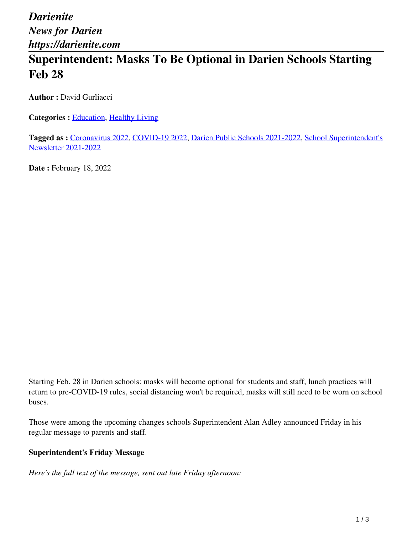*Darienite News for Darien https://darienite.com*

## **Superintendent: Masks To Be Optional in Darien Schools Starting Feb 28**

**Author :** David Gurliacci

**Categories :** [Education,](https://darienite.com/category/news/education) Healthy Living

**Tagged as :** Coronavirus 2022, COVID-19 2022, Darien Public Schools 2021-2022, School Superintendent's Newsletter 2021-2022

**Date : February 18, 2022** 

Starting Feb. 28 in Darien schools: masks will become optional for students and staff, lunch practices will return to pre-COVID-19 rules, social distancing won't be required, masks will still need to be worn on school buses.

Those were among the upcoming changes schools Superintendent Alan Adley announced Friday in his regular message to parents and staff.

## **Superintendent's Friday Message**

*Here's the full text of the message, sent out late Friday afternoon:*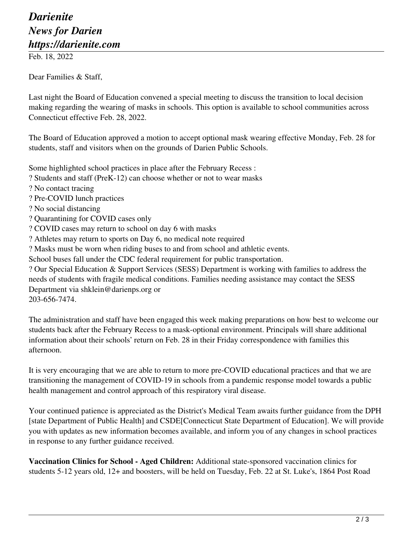## *Darienite News for Darien https://darienite.com*

Feb. 18, 2022

Dear Families & Staff,

Last night the Board of Education convened a special meeting to discuss the transition to local decision making regarding the wearing of masks in schools. This option is available to school communities across Connecticut effective Feb. 28, 2022.

The Board of Education approved a motion to accept optional mask wearing effective Monday, Feb. 28 for students, staff and visitors when on the grounds of Darien Public Schools.

Some highlighted school practices in place after the February Recess :

? Students and staff (PreK-12) can choose whether or not to wear masks

- ? No contact tracing
- ? Pre-COVID lunch practices
- ? No social distancing
- ? Quarantining for COVID cases only
- ? COVID cases may return to school on day 6 with masks
- ? Athletes may return to sports on Day 6, no medical note required
- ? Masks must be worn when riding buses to and from school and athletic events.

School buses fall under the CDC federal requirement for public transportation.

? Our Special Education & Support Services (SESS) Department is working with families to address the needs of students with fragile medical conditions. Families needing assistance may contact the SESS Department via shklein@darienps.org or 203-656-7474.

The administration and staff have been engaged this week making preparations on how best to welcome our students back after the February Recess to a mask-optional environment. Principals will share additional information about their schools' return on Feb. 28 in their Friday correspondence with families this afternoon.

It is very encouraging that we are able to return to more pre-COVID educational practices and that we are transitioning the management of COVID-19 in schools from a pandemic response model towards a public health management and control approach of this respiratory viral disease.

Your continued patience is appreciated as the District's Medical Team awaits further guidance from the DPH [state Department of Public Health] and CSDE[Connecticut State Department of Education]. We will provide you with updates as new information becomes available, and inform you of any changes in school practices in response to any further guidance received.

**Vaccination Clinics for School - Aged Children:** Additional state-sponsored vaccination clinics for students 5-12 years old, 12+ and boosters, will be held on Tuesday, Feb. 22 at St. Luke's, 1864 Post Road